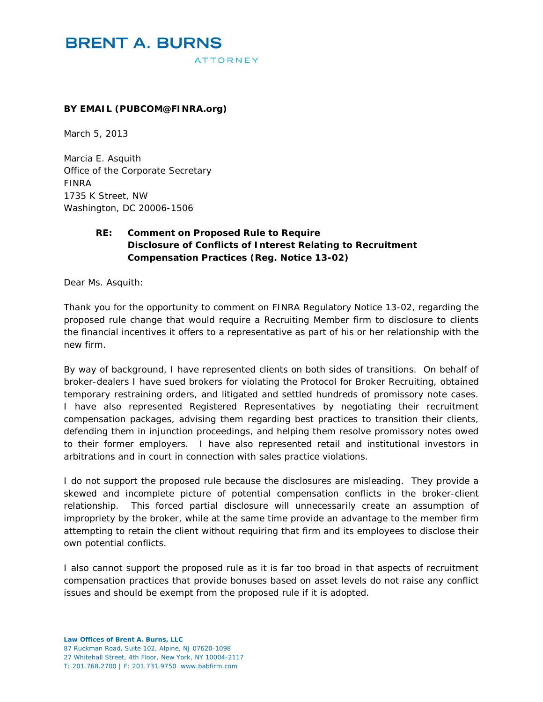#### **BY EMAIL (PUBCOM@FINRA.org)**

March 5, 2013

Marcia E. Asquith Office of the Corporate Secretary FINRA 1735 K Street, NW Washington, DC 20006-1506

## **RE: Comment on Proposed Rule to Require Disclosure of Conflicts of Interest Relating to Recruitment Compensation Practices (Reg. Notice 13-02)**

Dear Ms. Asquith:

Thank you for the opportunity to comment on FINRA Regulatory Notice 13-02, regarding the proposed rule change that would require a Recruiting Member firm to disclosure to clients the financial incentives it offers to a representative as part of his or her relationship with the new firm.

By way of background, I have represented clients on both sides of transitions. On behalf of broker-dealers I have sued brokers for violating the Protocol for Broker Recruiting, obtained temporary restraining orders, and litigated and settled hundreds of promissory note cases. I have also represented Registered Representatives by negotiating their recruitment compensation packages, advising them regarding best practices to transition their clients, defending them in injunction proceedings, and helping them resolve promissory notes owed to their former employers. I have also represented retail and institutional investors in arbitrations and in court in connection with sales practice violations.

I do not support the proposed rule because the disclosures are misleading. They provide a skewed and incomplete picture of potential compensation conflicts in the broker-client relationship. This forced partial disclosure will unnecessarily create an assumption of impropriety by the broker, while at the same time provide an advantage to the member firm attempting to retain the client without requiring that firm and its employees to disclose their own potential conflicts.

I also cannot support the proposed rule as it is far too broad in that aspects of recruitment compensation practices that provide bonuses based on asset levels do not raise any conflict issues and should be exempt from the proposed rule if it is adopted.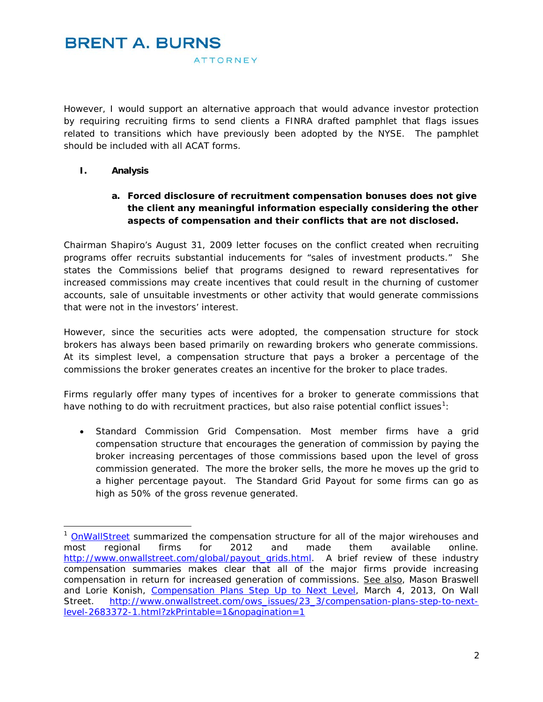However, I would support an alternative approach that would advance investor protection by requiring recruiting firms to send clients a FINRA drafted pamphlet that flags issues related to transitions which have previously been adopted by the NYSE.The pamphlet should be included with all ACAT forms.

#### **I. Analysis**

## **a. Forced disclosure of recruitment compensation bonuses does not give the client any meaningful information especially considering the other aspects of compensation and their conflicts that are not disclosed.**

Chairman Shapiro's August 31, 2009 letter focuses on the conflict created when recruiting programs offer recruits substantial inducements for "sales of investment products." She states the Commissions belief that programs designed to reward representatives for increased commissions may create incentives that could result in the churning of customer accounts, sale of unsuitable investments or other activity that would generate commissions that were not in the investors' interest.

However, since the securities acts were adopted, the compensation structure for stock brokers has always been based primarily on rewarding brokers who generate commissions. At its simplest level, a compensation structure that pays a broker a percentage of the commissions the broker generates creates an incentive for the broker to place trades.

Firms regularly offer many types of incentives for a broker to generate commissions that have nothing to do with recruitment practices, but also raise potential conflict issues<sup>[1](#page-1-0)</sup>:

• *Standard Commission Grid Compensation.* Most member firms have a grid compensation structure that encourages the generation of commission by paying the broker increasing percentages of those commissions based upon the level of gross commission generated. The more the broker sells, the more he moves up the grid to a higher percentage payout. The Standard Grid Payout for some firms can go as high as 50% of the gross revenue generated.

<span id="page-1-0"></span><sup>&</sup>lt;sup>1</sup> [OnWallStreet](http://www.onwallstreet.com/global/payout_grids.html) summarized the compensation structure for all of the major wirehouses and most regional firms for 2012 and made them available online. [http://www.onwallstreet.com/global/payout\\_grids.html.](http://www.onwallstreet.com/global/payout_grids.html) A brief review of these industry compensation summaries makes clear that all of the major firms provide increasing compensation in return for increased generation of commissions. See also, Mason Braswell and Lorie Konish, [Compensation Plans Step Up to Next Level,](http://www.onwallstreet.com/ows_issues/23_3/compensation-plans-step-to-next-level-2683372-1.html?zkPrintable=1&nopagination=1) March 4, 2013, On Wall Street. [http://www.onwallstreet.com/ows\\_issues/23\\_3/compensation-plans-step-to-next](http://www.onwallstreet.com/ows_issues/23_3/compensation-plans-step-to-next-level-2683372-1.html?zkPrintable=1&nopagination=1)[level-2683372-1.html?zkPrintable=1&nopagination=1](http://www.onwallstreet.com/ows_issues/23_3/compensation-plans-step-to-next-level-2683372-1.html?zkPrintable=1&nopagination=1)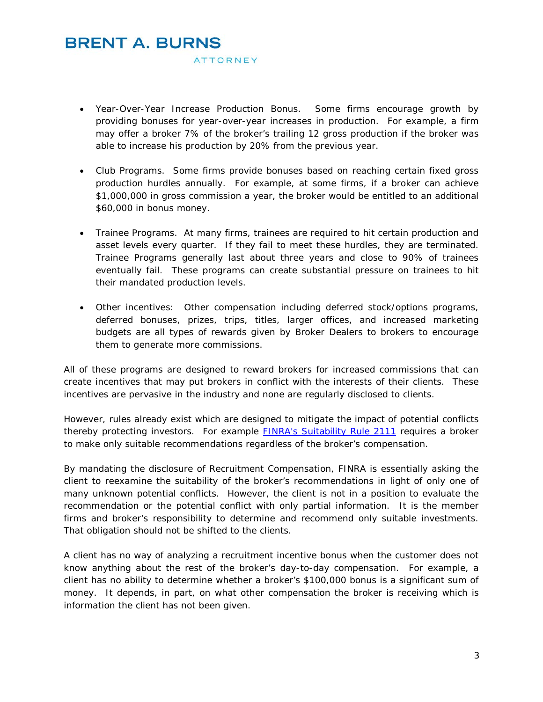# **BRENT A. BURNS**

ATTORNEY

- *Year-Over-Year Increase Production Bonus*. Some firms encourage growth by providing bonuses for year-over-year increases in production. For example, a firm may offer a broker 7% of the broker's trailing 12 gross production if the broker was able to increase his production by 20% from the previous year.
- *Club Programs*. Some firms provide bonuses based on reaching certain fixed gross production hurdles annually. For example, at some firms, if a broker can achieve \$1,000,000 in gross commission a year, the broker would be entitled to an additional \$60,000 in bonus money.
- *Trainee Programs.* At many firms, trainees are required to hit certain production and asset levels every quarter. If they fail to meet these hurdles, they are terminated. Trainee Programs generally last about three years and close to 90% of trainees eventually fail. These programs can create substantial pressure on trainees to hit their mandated production levels.
- *Other incentives*: Other compensation including deferred stock/options programs, deferred bonuses, prizes, trips, titles, larger offices, and increased marketing budgets are all types of rewards given by Broker Dealers to brokers to encourage them to generate more commissions.

All of these programs are designed to reward brokers for increased commissions that can create incentives that may put brokers in conflict with the interests of their clients. These incentives are pervasive in the industry and none are regularly disclosed to clients.

However, rules already exist which are designed to mitigate the impact of potential conflicts thereby protecting investors. For example [FINRA's Suitability Rule 2111](http://finra.complinet.com/en/display/display_main.html?rbid=2403&record_id=14960) requires a broker to make only suitable recommendations regardless of the broker's compensation.

By mandating the disclosure of Recruitment Compensation, FINRA is essentially asking the client to reexamine the suitability of the broker's recommendations in light of only one of many unknown potential conflicts. However, the client is not in a position to evaluate the recommendation or the potential conflict with only partial information. It is the member firms and broker's responsibility to determine and recommend only suitable investments. That obligation should not be shifted to the clients.

A client has no way of analyzing a recruitment incentive bonus when the customer does not know anything about the rest of the broker's day-to-day compensation. For example, a client has no ability to determine whether a broker's \$100,000 bonus is a significant sum of money. It depends, in part, on what other compensation the broker is receiving which is information the client has not been given.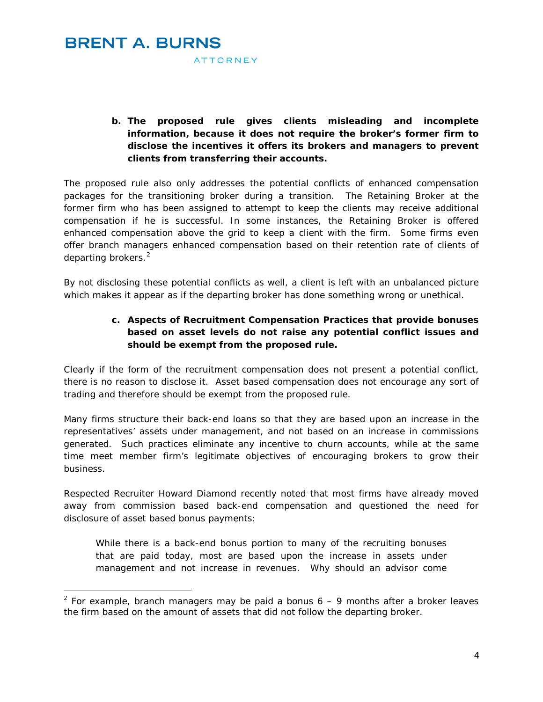

-

**b. The proposed rule gives clients misleading and incomplete information, because it does not require the broker's former firm to disclose the incentives it offers its brokers and managers to prevent clients from transferring their accounts.** 

The proposed rule also only addresses the potential conflicts of enhanced compensation packages for the transitioning broker during a transition. The Retaining Broker at the former firm who has been assigned to attempt to keep the clients may receive additional compensation if he is successful. In some instances, the Retaining Broker is offered enhanced compensation above the grid to keep a client with the firm. Some firms even offer branch managers enhanced compensation based on their retention rate of clients of departing brokers.<sup>[2](#page-3-0)</sup>

By not disclosing these potential conflicts as well, a client is left with an unbalanced picture which makes it appear as if the departing broker has done something wrong or unethical.

### **c. Aspects of Recruitment Compensation Practices that provide bonuses based on asset levels do not raise any potential conflict issues and should be exempt from the proposed rule.**

Clearly if the form of the recruitment compensation does not present a potential conflict, there is no reason to disclose it. Asset based compensation does not encourage any sort of trading and therefore should be exempt from the proposed rule.

Many firms structure their back-end loans so that they are based upon an increase in the representatives' assets under management, and not based on an increase in commissions generated. Such practices eliminate any incentive to churn accounts, while at the same time meet member firm's legitimate objectives of encouraging brokers to grow their business.

Respected Recruiter Howard Diamond recently noted that most firms have already moved away from commission based back-end compensation and questioned the need for disclosure of asset based bonus payments:

While there is a back-end bonus portion to many of the recruiting bonuses that are paid today, most are based upon the increase in assets under management and not increase in revenues. Why should an advisor come

<span id="page-3-0"></span><sup>&</sup>lt;sup>2</sup> For example, branch managers may be paid a bonus  $6 - 9$  months after a broker leaves the firm based on the amount of assets that did not follow the departing broker.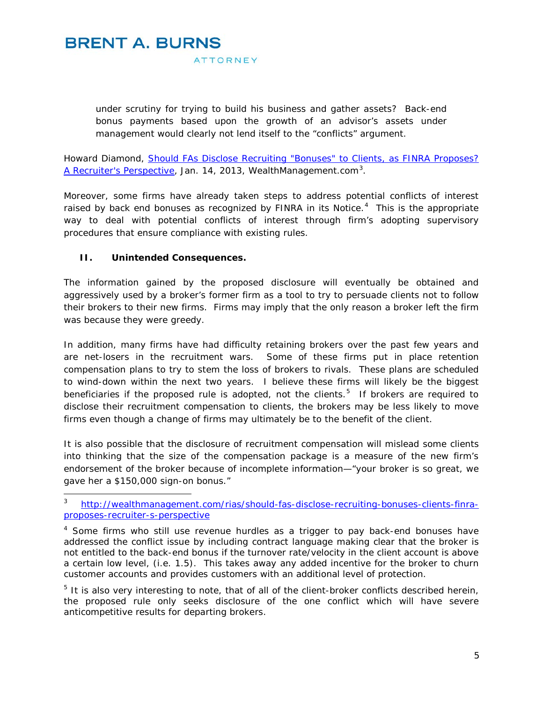# **BRENT A. BURNS**

**ATTORNEY** 

under scrutiny for trying to build his business and gather assets? Back-end bonus payments based upon the growth of an advisor's assets under management would clearly not lend itself to the "conflicts" argument.

Howard Diamond, *[Should FAs Disclose Recruiting "Bonuses" to Clients, as FINRA Proposes?](http://wealthmanagement.com/rias/should-fas-disclose-recruiting-bonuses-clients-finra-proposes-recruiter-s-perspective)  [A Recruiter's Perspective,](http://wealthmanagement.com/rias/should-fas-disclose-recruiting-bonuses-clients-finra-proposes-recruiter-s-perspective)* Jan. 14, 2013, WealthManagement.com[3](#page-4-0) .

Moreover, some firms have already taken steps to address potential conflicts of interest raised by back end bonuses as recognized by FINRA in its Notice.<sup>[4](#page-4-1)</sup> This is the appropriate way to deal with potential conflicts of interest through firm's adopting supervisory procedures that ensure compliance with existing rules.

#### **II. Unintended Consequences.**

The information gained by the proposed disclosure will eventually be obtained and aggressively used by a broker's former firm as a tool to try to persuade clients not to follow their brokers to their new firms. Firms may imply that the only reason a broker left the firm was because they were greedy.

In addition, many firms have had difficulty retaining brokers over the past few years and are net-losers in the recruitment wars. Some of these firms put in place retention compensation plans to try to stem the loss of brokers to rivals. These plans are scheduled to wind-down within the next two years. I believe these firms will likely be the biggest beneficiaries if the proposed rule is adopted, not the clients.<sup>[5](#page-4-2)</sup> If brokers are required to disclose their recruitment compensation to clients, the brokers may be less likely to move firms even though a change of firms may ultimately be to the benefit of the client.

It is also possible that the disclosure of recruitment compensation will mislead some clients into thinking that the size of the compensation package is a measure of the new firm's endorsement of the broker because of incomplete information—"your broker is so great, we gave her a \$150,000 sign-on bonus."

<span id="page-4-0"></span><sup>3</sup> [http://wealthmanagement.com/rias/should-fas-disclose-recruiting-bonuses-clients-finra](http://wealthmanagement.com/rias/should-fas-disclose-recruiting-bonuses-clients-finra-proposes-recruiter-s-perspective)[proposes-recruiter-s-perspective](http://wealthmanagement.com/rias/should-fas-disclose-recruiting-bonuses-clients-finra-proposes-recruiter-s-perspective)

<span id="page-4-1"></span><sup>&</sup>lt;sup>4</sup> Some firms who still use revenue hurdles as a trigger to pay back-end bonuses have addressed the conflict issue by including contract language making clear that the broker is not entitled to the back-end bonus if the turnover rate/velocity in the client account is above a certain low level, (i.e. 1.5). This takes away any added incentive for the broker to churn customer accounts and provides customers with an additional level of protection.

<span id="page-4-2"></span> $<sup>5</sup>$  It is also very interesting to note, that of all of the client-broker conflicts described herein,</sup> the proposed rule only seeks disclosure of the one conflict which will have severe anticompetitive results for departing brokers.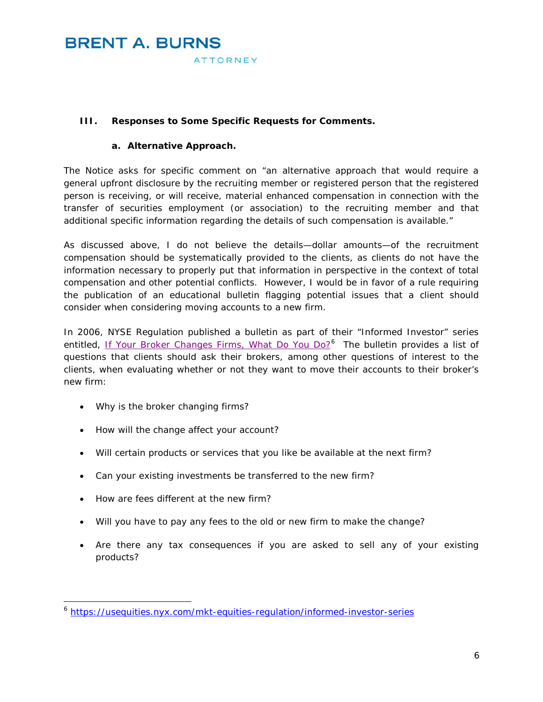#### **III. Responses to Some Specific Requests for Comments.**

#### **a. Alternative Approach.**

The Notice asks for specific comment on "an alternative approach that would require a general upfront disclosure by the recruiting member or registered person that the registered person is receiving, or will receive, material enhanced compensation in connection with the transfer of securities employment (or association) to the recruiting member and that additional specific information regarding the details of such compensation is available."

As discussed above, I do not believe the details—dollar amounts—of the recruitment compensation should be systematically provided to the clients, as clients do not have the information necessary to properly put that information in perspective in the context of total compensation and other potential conflicts. However, I would be in favor of a rule requiring the publication of an educational bulletin flagging potential issues that a client should consider when considering moving accounts to a new firm.

In 2006, NYSE Regulation published a bulletin as part of their "Informed Investor" series entitled, [If Your Broker Changes Firms, What Do You Do?](https://usequities.nyx.com/mkt-equities-regulation/informed-investor-series)<sup>[6](#page-5-0)</sup> The bulletin provides a list of questions that clients should ask their brokers, among other questions of interest to the clients, when evaluating whether or not they want to move their accounts to their broker's new firm:

- Why is the broker changing firms?
- How will the change affect your account?
- Will certain products or services that you like be available at the next firm?
- Can your existing investments be transferred to the new firm?
- How are fees different at the new firm?

-

- Will you have to pay any fees to the old or new firm to make the change?
- Are there any tax consequences if you are asked to sell any of your existing products?

<span id="page-5-0"></span><sup>6</sup> <https://usequities.nyx.com/mkt-equities-regulation/informed-investor-series>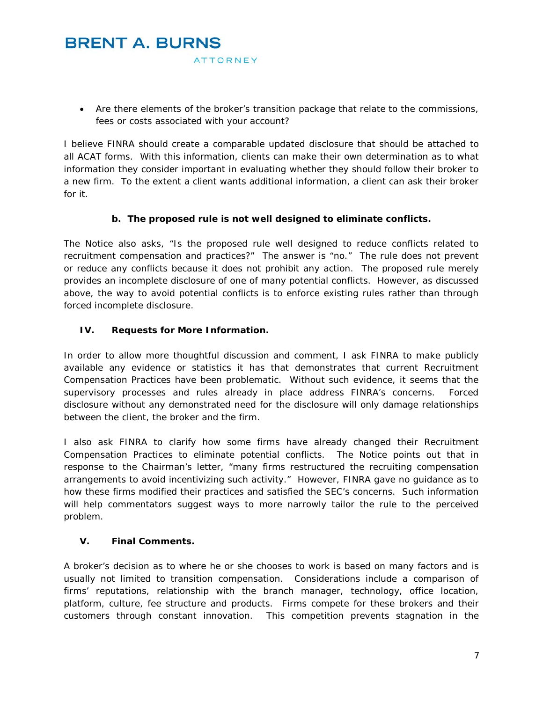• Are there elements of the broker's transition package that relate to the commissions, fees or costs associated with your account?

I believe FINRA should create a comparable updated disclosure that should be attached to all ACAT forms. With this information, clients can make their own determination as to what information they consider important in evaluating whether they should follow their broker to a new firm. To the extent a client wants additional information, a client can ask their broker for it.

### **b. The proposed rule is not well designed to eliminate conflicts.**

The Notice also asks, "Is the proposed rule well designed to reduce conflicts related to recruitment compensation and practices?" The answer is "no." The rule does not prevent or reduce any conflicts because it does not prohibit any action. The proposed rule merely provides an incomplete disclosure of one of many potential conflicts. However, as discussed above, the way to avoid potential conflicts is to enforce existing rules rather than through forced incomplete disclosure.

#### **IV. Requests for More Information.**

In order to allow more thoughtful discussion and comment, I ask FINRA to make publicly available any evidence or statistics it has that demonstrates that current Recruitment Compensation Practices have been problematic. Without such evidence, it seems that the supervisory processes and rules already in place address FINRA's concerns. Forced disclosure without any demonstrated need for the disclosure will only damage relationships between the client, the broker and the firm.

I also ask FINRA to clarify how some firms have already changed their Recruitment Compensation Practices to eliminate potential conflicts. The Notice points out that in response to the Chairman's letter, "many firms restructured the recruiting compensation arrangements to avoid incentivizing such activity." However, FINRA gave no guidance as to how these firms modified their practices and satisfied the SEC's concerns. Such information will help commentators suggest ways to more narrowly tailor the rule to the perceived problem.

### **V. Final Comments.**

A broker's decision as to where he or she chooses to work is based on many factors and is usually not limited to transition compensation. Considerations include a comparison of firms' reputations, relationship with the branch manager, technology, office location, platform, culture, fee structure and products. Firms compete for these brokers and their customers through constant innovation. This competition prevents stagnation in the